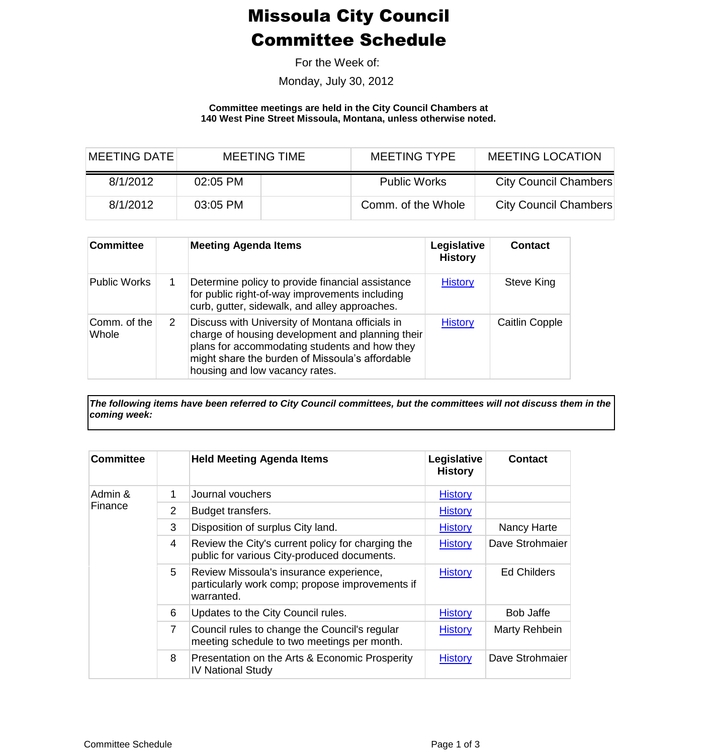## Missoula City Council Committee Schedule

For the Week of:

Monday, July 30, 2012

**Committee meetings are held in the City Council Chambers at 140 West Pine Street Missoula, Montana, unless otherwise noted.**

| MEETING DATE | <b>MEETING TIME</b> |  | <b>MEETING TYPE</b> | <b>MEETING LOCATION</b> |  |
|--------------|---------------------|--|---------------------|-------------------------|--|
| 8/1/2012     | $02:05$ PM          |  | <b>Public Works</b> | City Council Chambers   |  |
| 8/1/2012     | 03:05 PM            |  | Comm. of the Whole  | City Council Chambers   |  |

| <b>Committee</b>      |   | <b>Meeting Agenda Items</b>                                                                                                                                                                                                               | Legislative<br><b>History</b> | <b>Contact</b>        |
|-----------------------|---|-------------------------------------------------------------------------------------------------------------------------------------------------------------------------------------------------------------------------------------------|-------------------------------|-----------------------|
| <b>Public Works</b>   |   | Determine policy to provide financial assistance<br>for public right-of-way improvements including<br>curb, gutter, sidewalk, and alley approaches.                                                                                       | <b>History</b>                | Steve King            |
| Comm. of the<br>Whole | 2 | Discuss with University of Montana officials in<br>charge of housing development and planning their<br>plans for accommodating students and how they<br>might share the burden of Missoula's affordable<br>housing and low vacancy rates. | <b>History</b>                | <b>Caitlin Copple</b> |

*The following items have been referred to City Council committees, but the committees will not discuss them in the coming week:*

| <b>Committee</b>   |                | <b>Held Meeting Agenda Items</b>                                                                         | Legislative<br><b>History</b> | <b>Contact</b>     |
|--------------------|----------------|----------------------------------------------------------------------------------------------------------|-------------------------------|--------------------|
| Admin &<br>Finance | 1              | Journal vouchers                                                                                         | <b>History</b>                |                    |
|                    | 2              | Budget transfers.                                                                                        | <b>History</b>                |                    |
|                    | 3              | Disposition of surplus City land.                                                                        | <b>History</b>                | Nancy Harte        |
|                    | 4              | Review the City's current policy for charging the<br>public for various City-produced documents.         | <b>History</b>                | Dave Strohmaier    |
|                    | 5              | Review Missoula's insurance experience,<br>particularly work comp; propose improvements if<br>warranted. | <b>History</b>                | <b>Ed Childers</b> |
|                    | 6              | Updates to the City Council rules.                                                                       | <b>History</b>                | <b>Bob Jaffe</b>   |
|                    | $\overline{7}$ | Council rules to change the Council's regular<br>meeting schedule to two meetings per month.             | <b>History</b>                | Marty Rehbein      |
|                    | 8              | Presentation on the Arts & Economic Prosperity<br><b>IV National Study</b>                               | <b>History</b>                | Dave Strohmaier    |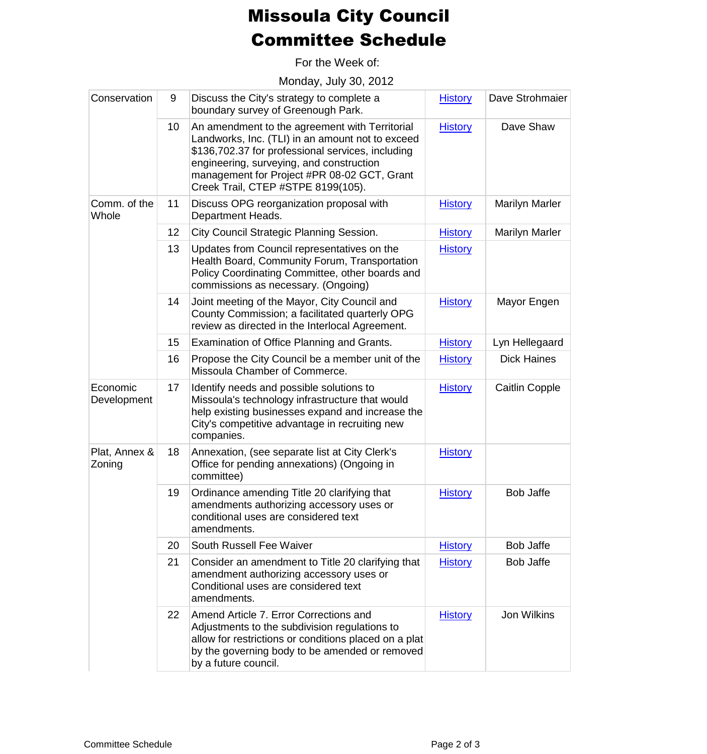## Missoula City Council Committee Schedule

For the Week of:

Monday, July 30, 2012

| Conservation            | 9  | Discuss the City's strategy to complete a<br>boundary survey of Greenough Park.                                                                                                                                                                                                          | <b>History</b> | Dave Strohmaier       |
|-------------------------|----|------------------------------------------------------------------------------------------------------------------------------------------------------------------------------------------------------------------------------------------------------------------------------------------|----------------|-----------------------|
|                         | 10 | An amendment to the agreement with Territorial<br>Landworks, Inc. (TLI) in an amount not to exceed<br>\$136,702.37 for professional services, including<br>engineering, surveying, and construction<br>management for Project #PR 08-02 GCT, Grant<br>Creek Trail, CTEP #STPE 8199(105). | <b>History</b> | Dave Shaw             |
| Comm. of the<br>Whole   | 11 | Discuss OPG reorganization proposal with<br>Department Heads.                                                                                                                                                                                                                            | <b>History</b> | <b>Marilyn Marler</b> |
|                         | 12 | City Council Strategic Planning Session.                                                                                                                                                                                                                                                 | <b>History</b> | <b>Marilyn Marler</b> |
|                         | 13 | Updates from Council representatives on the<br>Health Board, Community Forum, Transportation<br>Policy Coordinating Committee, other boards and<br>commissions as necessary. (Ongoing)                                                                                                   | <b>History</b> |                       |
|                         | 14 | Joint meeting of the Mayor, City Council and<br>County Commission; a facilitated quarterly OPG<br>review as directed in the Interlocal Agreement.                                                                                                                                        | <b>History</b> | Mayor Engen           |
|                         | 15 | Examination of Office Planning and Grants.                                                                                                                                                                                                                                               | <b>History</b> | Lyn Hellegaard        |
|                         | 16 | Propose the City Council be a member unit of the<br>Missoula Chamber of Commerce.                                                                                                                                                                                                        | <b>History</b> | <b>Dick Haines</b>    |
| Economic<br>Development | 17 | Identify needs and possible solutions to<br>Missoula's technology infrastructure that would<br>help existing businesses expand and increase the<br>City's competitive advantage in recruiting new<br>companies.                                                                          | <b>History</b> | <b>Caitlin Copple</b> |
| Plat, Annex &<br>Zoning | 18 | Annexation, (see separate list at City Clerk's<br>Office for pending annexations) (Ongoing in<br>committee)                                                                                                                                                                              | <b>History</b> |                       |
|                         | 19 | Ordinance amending Title 20 clarifying that<br>amendments authorizing accessory uses or<br>conditional uses are considered text<br>amendments.                                                                                                                                           | <b>History</b> | <b>Bob Jaffe</b>      |
|                         | 20 | South Russell Fee Waiver                                                                                                                                                                                                                                                                 | <b>History</b> | Bob Jaffe             |
|                         | 21 | Consider an amendment to Title 20 clarifying that<br>amendment authorizing accessory uses or<br>Conditional uses are considered text<br>amendments.                                                                                                                                      | <b>History</b> | <b>Bob Jaffe</b>      |
|                         | 22 | Amend Article 7. Error Corrections and<br>Adjustments to the subdivision regulations to<br>allow for restrictions or conditions placed on a plat<br>by the governing body to be amended or removed<br>by a future council.                                                               | <b>History</b> | Jon Wilkins           |